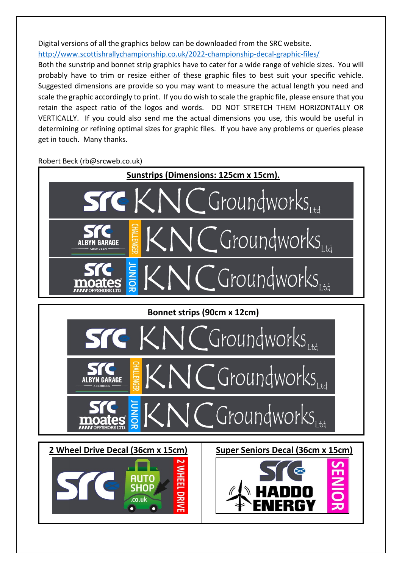Digital versions of all the graphics below can be downloaded from the SRC website. <http://www.scottishrallychampionship.co.uk/2022-championship-decal-graphic-files/>

Both the sunstrip and bonnet strip graphics have to cater for a wide range of vehicle sizes. You will probably have to trim or resize either of these graphic files to best suit your specific vehicle. Suggested dimensions are provide so you may want to measure the actual length you need and scale the graphic accordingly to print. If you do wish to scale the graphic file, please ensure that you retain the aspect ratio of the logos and words. DO NOT STRETCH THEM HORIZONTALLY OR VERTICALLY. If you could also send me the actual dimensions you use, this would be useful in determining or refining optimal sizes for graphic files. If you have any problems or queries please get in touch. Many thanks.

Robert Beck (rb@srcweb.co.uk)

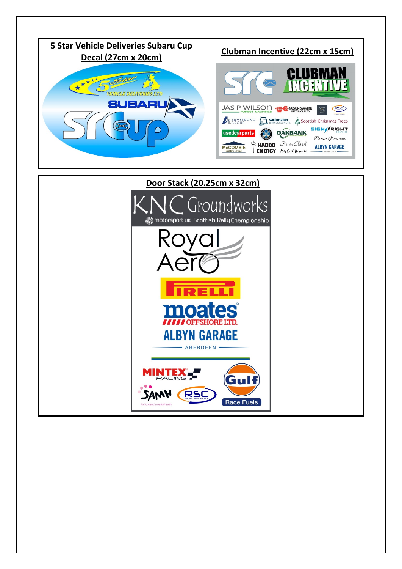